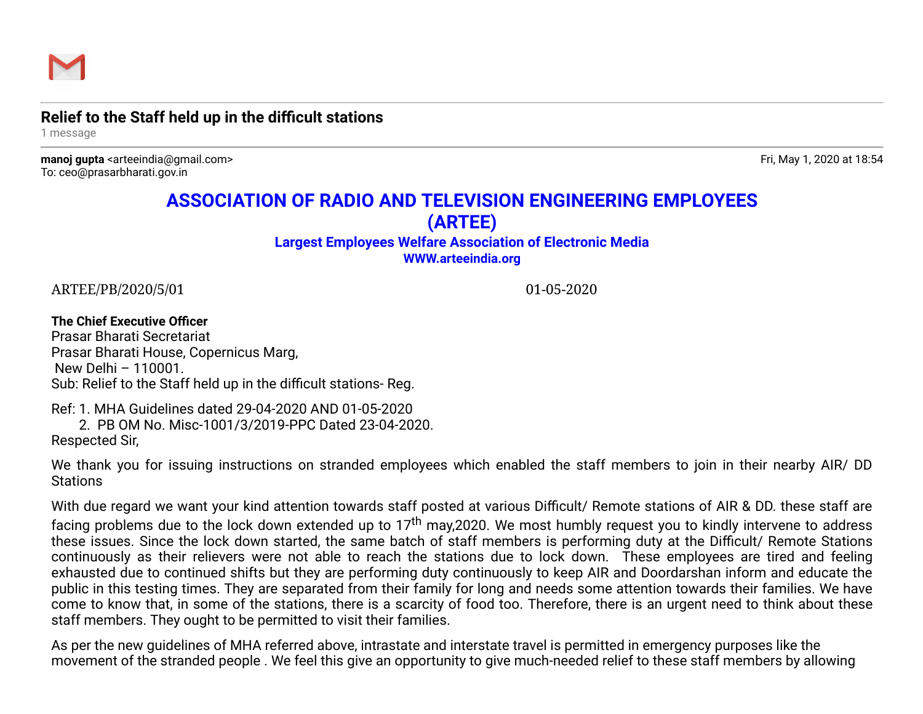

## **Relief to the Staff held up in the difficult stations**

1 message

**manoj gupta** <arteeindia@gmail.com> Fri, May 1, 2020 at 18:54 To: ceo@prasarbharati.gov.in

## **ASSOCIATION OF RADIO AND TELEVISION ENGINEERING EMPLOYEES (ARTEE)**

## **Largest Employees Welfare Association of Electronic Media [WWW.arteeindia.org](http://www.arteeindia.org/)**

ARTEE/PB/2020/5/01 01-05-2020

## **The Chief Executive Officer**  Prasar Bharati Secretariat Prasar Bharati House, Copernicus Marg, New Delhi – 110001.

Sub: Relief to the Staff held up in the difficult stations- Reg.

Ref: 1. MHA Guidelines dated 29-04-2020 AND 01-05-2020

 2. PB OM No. Misc-1001/3/2019-PPC Dated 23-04-2020. Respected Sir,

We thank you for issuing instructions on stranded employees which enabled the staff members to join in their nearby AIR/ DD **Stations** 

With due regard we want your kind attention towards staff posted at various Difficult/ Remote stations of AIR & DD. these staff are facing problems due to the lock down extended up to  $17<sup>th</sup>$  may, 2020. We most humbly request you to kindly intervene to address these issues. Since the lock down started, the same batch of staff members is performing duty at the Difficult/ Remote Stations continuously as their relievers were not able to reach the stations due to lock down. These employees are tired and feeling exhausted due to continued shifts but they are performing duty continuously to keep AIR and Doordarshan inform and educate the public in this testing times. They are separated from their family for long and needs some attention towards their families. We have come to know that, in some of the stations, there is a scarcity of food too. Therefore, there is an urgent need to think about these staff members. They ought to be permitted to visit their families.

As per the new guidelines of MHA referred above, intrastate and interstate travel is permitted in emergency purposes like the movement of the stranded people . We feel this give an opportunity to give much-needed relief to these staff members by allowing